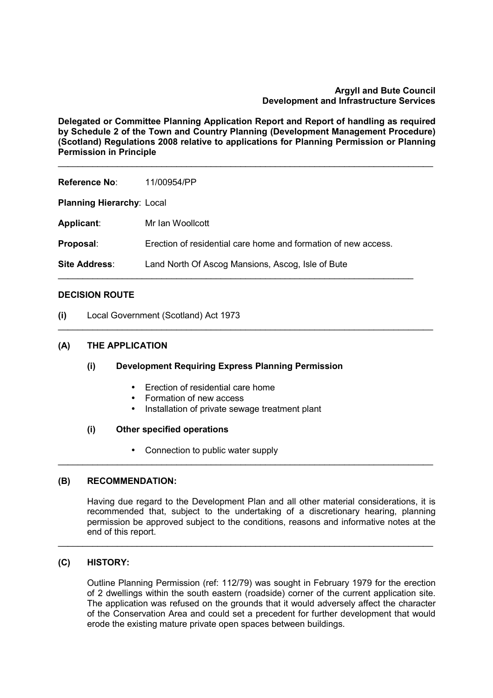## **Argyll and Bute Council Development and Infrastructure Services**

**Delegated or Committee Planning Application Report and Report of handling as required by Schedule 2 of the Town and Country Planning (Development Management Procedure) (Scotland) Regulations 2008 relative to applications for Planning Permission or Planning Permission in Principle** 

\_\_\_\_\_\_\_\_\_\_\_\_\_\_\_\_\_\_\_\_\_\_\_\_\_\_\_\_\_\_\_\_\_\_\_\_\_\_\_\_\_\_\_\_\_\_\_\_\_\_\_\_\_\_\_\_\_\_\_\_\_\_\_\_\_\_\_\_\_\_\_\_\_\_\_\_

# **Reference No**: 11/00954/PP

**Planning Hierarchy**: Local

**Applicant**: Mr Ian Woollcott **Proposal**: Erection of residential care home and formation of new access.

\_\_\_\_\_\_\_\_\_\_\_\_\_\_\_\_\_\_\_\_\_\_\_\_\_\_\_\_\_\_\_\_\_\_\_\_\_\_\_\_\_\_\_\_\_\_\_\_\_\_\_\_\_\_\_\_\_\_\_\_\_\_\_\_\_\_\_\_\_\_\_\_

\_\_\_\_\_\_\_\_\_\_\_\_\_\_\_\_\_\_\_\_\_\_\_\_\_\_\_\_\_\_\_\_\_\_\_\_\_\_\_\_\_\_\_\_\_\_\_\_\_\_\_\_\_\_\_\_\_\_\_\_\_\_\_\_\_\_\_\_\_\_\_\_\_\_\_\_

**Site Address**: Land North Of Ascog Mansions, Ascog, Isle of Bute

## **DECISION ROUTE**

**(i)** Local Government (Scotland) Act 1973

# **(A) THE APPLICATION**

# **(i) Development Requiring Express Planning Permission**

- Frection of residential care home
- Formation of new access
- Installation of private sewage treatment plant

## **(i) Other specified operations**

• Connection to public water supply

# **(B) RECOMMENDATION:**

Having due regard to the Development Plan and all other material considerations, it is recommended that, subject to the undertaking of a discretionary hearing, planning permission be approved subject to the conditions, reasons and informative notes at the end of this report.

\_\_\_\_\_\_\_\_\_\_\_\_\_\_\_\_\_\_\_\_\_\_\_\_\_\_\_\_\_\_\_\_\_\_\_\_\_\_\_\_\_\_\_\_\_\_\_\_\_\_\_\_\_\_\_\_\_\_\_\_\_\_\_\_\_\_\_\_\_\_\_\_\_\_\_\_

\_\_\_\_\_\_\_\_\_\_\_\_\_\_\_\_\_\_\_\_\_\_\_\_\_\_\_\_\_\_\_\_\_\_\_\_\_\_\_\_\_\_\_\_\_\_\_\_\_\_\_\_\_\_\_\_\_\_\_\_\_\_\_\_\_\_\_\_\_\_\_\_\_\_\_\_

## **(C) HISTORY:**

Outline Planning Permission (ref: 112/79) was sought in February 1979 for the erection of 2 dwellings within the south eastern (roadside) corner of the current application site. The application was refused on the grounds that it would adversely affect the character of the Conservation Area and could set a precedent for further development that would erode the existing mature private open spaces between buildings.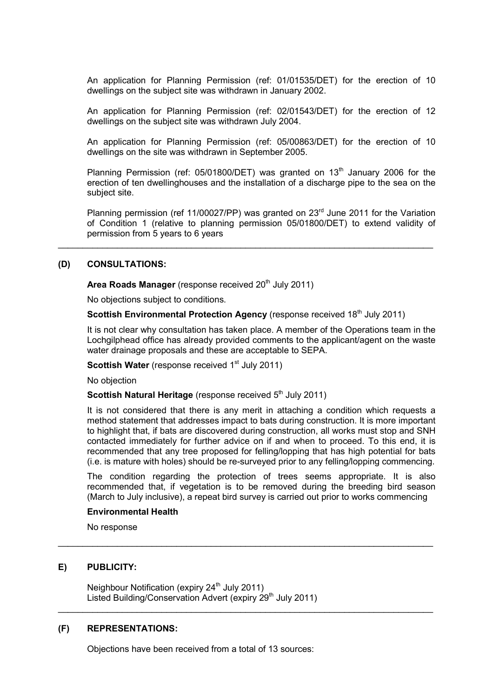An application for Planning Permission (ref: 01/01535/DET) for the erection of 10 dwellings on the subject site was withdrawn in January 2002.

An application for Planning Permission (ref: 02/01543/DET) for the erection of 12 dwellings on the subject site was withdrawn July 2004.

An application for Planning Permission (ref: 05/00863/DET) for the erection of 10 dwellings on the site was withdrawn in September 2005.

Planning Permission (ref:  $05/01800/DET$ ) was granted on  $13<sup>th</sup>$  January 2006 for the erection of ten dwellinghouses and the installation of a discharge pipe to the sea on the subject site.

Planning permission (ref 11/00027/PP) was granted on 23<sup>rd</sup> June 2011 for the Variation of Condition 1 (relative to planning permission 05/01800/DET) to extend validity of permission from 5 years to 6 years

## **(D) CONSULTATIONS:**

Area Roads Manager (response received 20<sup>th</sup> July 2011)

No objections subject to conditions.

**Scottish Environmental Protection Agency** (response received 18<sup>th</sup> July 2011)

\_\_\_\_\_\_\_\_\_\_\_\_\_\_\_\_\_\_\_\_\_\_\_\_\_\_\_\_\_\_\_\_\_\_\_\_\_\_\_\_\_\_\_\_\_\_\_\_\_\_\_\_\_\_\_\_\_\_\_\_\_\_\_\_\_\_\_\_\_\_\_\_\_\_\_\_

It is not clear why consultation has taken place. A member of the Operations team in the Lochgilphead office has already provided comments to the applicant/agent on the waste water drainage proposals and these are acceptable to SEPA.

**Scottish Water** (response received 1<sup>st</sup> July 2011)

No objection

**Scottish Natural Heritage** (response received 5<sup>th</sup> July 2011)

It is not considered that there is any merit in attaching a condition which requests a method statement that addresses impact to bats during construction. It is more important to highlight that, if bats are discovered during construction, all works must stop and SNH contacted immediately for further advice on if and when to proceed. To this end, it is recommended that any tree proposed for felling/lopping that has high potential for bats (i.e. is mature with holes) should be re-surveyed prior to any felling/lopping commencing.

The condition regarding the protection of trees seems appropriate. It is also recommended that, if vegetation is to be removed during the breeding bird season (March to July inclusive), a repeat bird survey is carried out prior to works commencing

\_\_\_\_\_\_\_\_\_\_\_\_\_\_\_\_\_\_\_\_\_\_\_\_\_\_\_\_\_\_\_\_\_\_\_\_\_\_\_\_\_\_\_\_\_\_\_\_\_\_\_\_\_\_\_\_\_\_\_\_\_\_\_\_\_\_\_\_\_\_\_\_\_\_\_\_

\_\_\_\_\_\_\_\_\_\_\_\_\_\_\_\_\_\_\_\_\_\_\_\_\_\_\_\_\_\_\_\_\_\_\_\_\_\_\_\_\_\_\_\_\_\_\_\_\_\_\_\_\_\_\_\_\_\_\_\_\_\_\_\_\_\_\_\_\_\_\_\_\_\_\_\_

#### **Environmental Health**

No response

# **E) PUBLICITY:**

Neighbour Notification (expiry 24<sup>th</sup> July 2011) Listed Building/Conservation Advert (expiry 29<sup>th</sup> July 2011)

#### **(F) REPRESENTATIONS:**

Objections have been received from a total of 13 sources: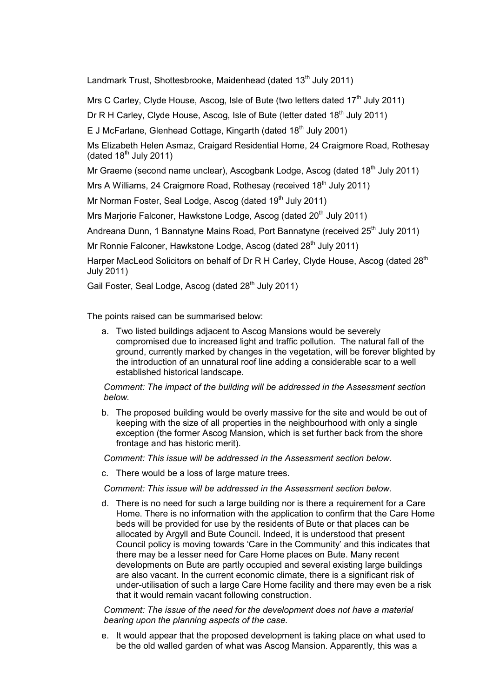Landmark Trust, Shottesbrooke, Maidenhead (dated 13<sup>th</sup> July 2011)

Mrs C Carley, Clyde House, Ascog, Isle of Bute (two letters dated  $17<sup>th</sup>$  July 2011)

Dr R H Carley, Clyde House, Ascog, Isle of Bute (letter dated  $18<sup>th</sup>$  July 2011)

E J McFarlane, Glenhead Cottage, Kingarth (dated  $18<sup>th</sup>$  July 2001)

Ms Elizabeth Helen Asmaz, Craigard Residential Home, 24 Craigmore Road, Rothesay (dated  $18^{th}$  July 2011)

Mr Graeme (second name unclear), Ascogbank Lodge, Ascog (dated  $18<sup>th</sup>$  July 2011)

Mrs A Williams, 24 Craigmore Road, Rothesay (received 18<sup>th</sup> July 2011)

Mr Norman Foster, Seal Lodge, Ascog (dated 19<sup>th</sup> July 2011)

Mrs Mariorie Falconer, Hawkstone Lodge, Ascog (dated 20<sup>th</sup> July 2011)

Andreana Dunn, 1 Bannatyne Mains Road, Port Bannatyne (received 25<sup>th</sup> July 2011)

Mr Ronnie Falconer, Hawkstone Lodge, Ascog (dated 28<sup>th</sup> July 2011)

Harper MacLeod Solicitors on behalf of Dr R H Carley, Clyde House, Ascog (dated 28<sup>th</sup>) July 2011)

Gail Foster, Seal Lodge, Ascog (dated 28<sup>th</sup> July 2011)

The points raised can be summarised below:

a. Two listed buildings adjacent to Ascog Mansions would be severely compromised due to increased light and traffic pollution. The natural fall of the ground, currently marked by changes in the vegetation, will be forever blighted by the introduction of an unnatural roof line adding a considerable scar to a well established historical landscape.

*Comment: The impact of the building will be addressed in the Assessment section below.* 

b. The proposed building would be overly massive for the site and would be out of keeping with the size of all properties in the neighbourhood with only a single exception (the former Ascog Mansion, which is set further back from the shore frontage and has historic merit).

*Comment: This issue will be addressed in the Assessment section below.* 

c. There would be a loss of large mature trees.

*Comment: This issue will be addressed in the Assessment section below.* 

d. There is no need for such a large building nor is there a requirement for a Care Home. There is no information with the application to confirm that the Care Home beds will be provided for use by the residents of Bute or that places can be allocated by Argyll and Bute Council. Indeed, it is understood that present Council policy is moving towards 'Care in the Community' and this indicates that there may be a lesser need for Care Home places on Bute. Many recent developments on Bute are partly occupied and several existing large buildings are also vacant. In the current economic climate, there is a significant risk of under-utilisation of such a large Care Home facility and there may even be a risk that it would remain vacant following construction.

*Comment: The issue of the need for the development does not have a material bearing upon the planning aspects of the case.* 

e. It would appear that the proposed development is taking place on what used to be the old walled garden of what was Ascog Mansion. Apparently, this was a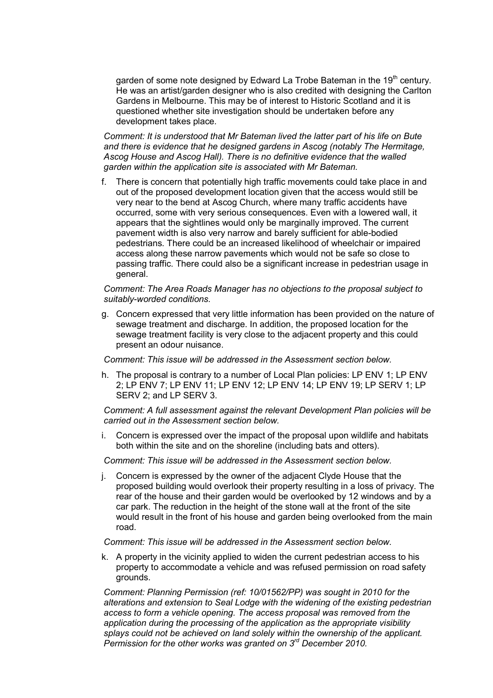garden of some note designed by Edward La Trobe Bateman in the 19<sup>th</sup> century. He was an artist/garden designer who is also credited with designing the Carlton Gardens in Melbourne. This may be of interest to Historic Scotland and it is questioned whether site investigation should be undertaken before any development takes place.

*Comment: It is understood that Mr Bateman lived the latter part of his life on Bute and there is evidence that he designed gardens in Ascog (notably The Hermitage, Ascog House and Ascog Hall). There is no definitive evidence that the walled garden within the application site is associated with Mr Bateman.* 

f. There is concern that potentially high traffic movements could take place in and out of the proposed development location given that the access would still be very near to the bend at Ascog Church, where many traffic accidents have occurred, some with very serious consequences. Even with a lowered wall, it appears that the sightlines would only be marginally improved. The current pavement width is also very narrow and barely sufficient for able-bodied pedestrians. There could be an increased likelihood of wheelchair or impaired access along these narrow pavements which would not be safe so close to passing traffic. There could also be a significant increase in pedestrian usage in general.

#### *Comment: The Area Roads Manager has no objections to the proposal subject to suitably-worded conditions.*

g. Concern expressed that very little information has been provided on the nature of sewage treatment and discharge. In addition, the proposed location for the sewage treatment facility is very close to the adjacent property and this could present an odour nuisance.

## *Comment: This issue will be addressed in the Assessment section below.*

h. The proposal is contrary to a number of Local Plan policies: LP ENV 1; LP ENV 2; LP ENV 7; LP ENV 11; LP ENV 12; LP ENV 14; LP ENV 19; LP SERV 1; LP SERV 2; and LP SERV 3.

*Comment: A full assessment against the relevant Development Plan policies will be carried out in the Assessment section below.* 

i. Concern is expressed over the impact of the proposal upon wildlife and habitats both within the site and on the shoreline (including bats and otters).

*Comment: This issue will be addressed in the Assessment section below.* 

j. Concern is expressed by the owner of the adjacent Clyde House that the proposed building would overlook their property resulting in a loss of privacy. The rear of the house and their garden would be overlooked by 12 windows and by a car park. The reduction in the height of the stone wall at the front of the site would result in the front of his house and garden being overlooked from the main road.

## *Comment: This issue will be addressed in the Assessment section below.*

k. A property in the vicinity applied to widen the current pedestrian access to his property to accommodate a vehicle and was refused permission on road safety grounds.

*Comment: Planning Permission (ref: 10/01562/PP) was sought in 2010 for the alterations and extension to Seal Lodge with the widening of the existing pedestrian access to form a vehicle opening. The access proposal was removed from the application during the processing of the application as the appropriate visibility splays could not be achieved on land solely within the ownership of the applicant. Permission for the other works was granted on 3rd December 2010.*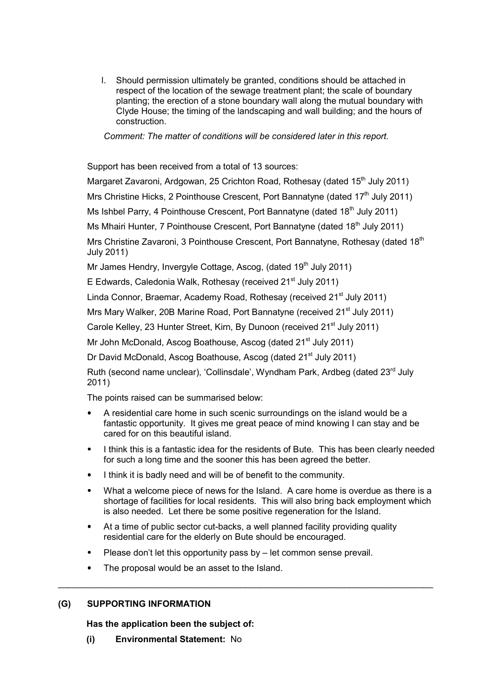l. Should permission ultimately be granted, conditions should be attached in respect of the location of the sewage treatment plant; the scale of boundary planting; the erection of a stone boundary wall along the mutual boundary with Clyde House; the timing of the landscaping and wall building; and the hours of construction.

*Comment: The matter of conditions will be considered later in this report.* 

Support has been received from a total of 13 sources:

Margaret Zavaroni, Ardgowan, 25 Crichton Road, Rothesay (dated 15<sup>th</sup> July 2011)

Mrs Christine Hicks, 2 Pointhouse Crescent, Port Bannatyne (dated 17<sup>th</sup> July 2011)

Ms Ishbel Parry, 4 Pointhouse Crescent, Port Bannatyne (dated 18<sup>th</sup> July 2011)

Ms Mhairi Hunter, 7 Pointhouse Crescent, Port Bannatyne (dated 18<sup>th</sup> July 2011)

Mrs Christine Zavaroni, 3 Pointhouse Crescent, Port Bannatyne, Rothesay (dated 18<sup>th</sup>) July 2011)

Mr James Hendry, Invergyle Cottage, Ascog, (dated 19<sup>th</sup> July 2011)

E Edwards, Caledonia Walk, Rothesay (received 21<sup>st</sup> July 2011)

Linda Connor, Braemar, Academy Road, Rothesay (received 21<sup>st</sup> July 2011)

Mrs Mary Walker, 20B Marine Road, Port Bannatyne (received 21<sup>st</sup> July 2011)

Carole Kelley, 23 Hunter Street, Kirn, By Dunoon (received 21<sup>st</sup> July 2011)

Mr John McDonald, Ascog Boathouse, Ascog (dated 21<sup>st</sup> July 2011)

Dr David McDonald, Ascog Boathouse, Ascog (dated 21<sup>st</sup> July 2011)

Ruth (second name unclear), 'Collinsdale', Wyndham Park, Ardbeg (dated 23<sup>rd</sup> July 2011)

The points raised can be summarised below:

- A residential care home in such scenic surroundings on the island would be a fantastic opportunity. It gives me great peace of mind knowing I can stay and be cared for on this beautiful island.
- I think this is a fantastic idea for the residents of Bute. This has been clearly needed for such a long time and the sooner this has been agreed the better.
- I think it is badly need and will be of benefit to the community.
- What a welcome piece of news for the Island. A care home is overdue as there is a shortage of facilities for local residents. This will also bring back employment which is also needed. Let there be some positive regeneration for the Island.
- At a time of public sector cut-backs, a well planned facility providing quality residential care for the elderly on Bute should be encouraged.

\_\_\_\_\_\_\_\_\_\_\_\_\_\_\_\_\_\_\_\_\_\_\_\_\_\_\_\_\_\_\_\_\_\_\_\_\_\_\_\_\_\_\_\_\_\_\_\_\_\_\_\_\_\_\_\_\_\_\_\_\_\_\_\_\_\_\_\_\_\_\_\_\_\_\_\_

- Please don't let this opportunity pass by let common sense prevail.
- The proposal would be an asset to the Island.

# **(G) SUPPORTING INFORMATION**

 **Has the application been the subject of:** 

**(i) Environmental Statement:** No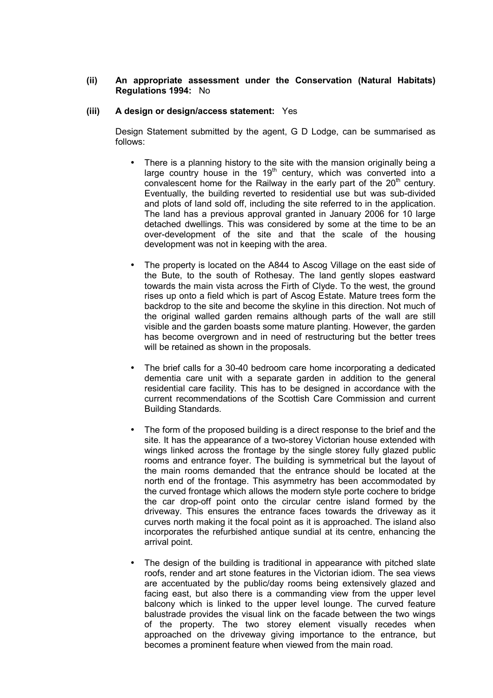## **(ii) An appropriate assessment under the Conservation (Natural Habitats) Regulations 1994:** No

## **(iii) A design or design/access statement:** Yes

Design Statement submitted by the agent, G D Lodge, can be summarised as follows:

- There is a planning history to the site with the mansion originally being a large country house in the  $19<sup>th</sup>$  century, which was converted into a convalescent home for the Railway in the early part of the  $20<sup>th</sup>$  century. Eventually, the building reverted to residential use but was sub-divided and plots of land sold off, including the site referred to in the application. The land has a previous approval granted in January 2006 for 10 large detached dwellings. This was considered by some at the time to be an over-development of the site and that the scale of the housing development was not in keeping with the area.
- The property is located on the A844 to Ascog Village on the east side of the Bute, to the south of Rothesay. The land gently slopes eastward towards the main vista across the Firth of Clyde. To the west, the ground rises up onto a field which is part of Ascog Estate. Mature trees form the backdrop to the site and become the skyline in this direction. Not much of the original walled garden remains although parts of the wall are still visible and the garden boasts some mature planting. However, the garden has become overgrown and in need of restructuring but the better trees will be retained as shown in the proposals.
- The brief calls for a 30-40 bedroom care home incorporating a dedicated dementia care unit with a separate garden in addition to the general residential care facility. This has to be designed in accordance with the current recommendations of the Scottish Care Commission and current Building Standards.
- The form of the proposed building is a direct response to the brief and the site. It has the appearance of a two-storey Victorian house extended with wings linked across the frontage by the single storey fully glazed public rooms and entrance foyer. The building is symmetrical but the layout of the main rooms demanded that the entrance should be located at the north end of the frontage. This asymmetry has been accommodated by the curved frontage which allows the modern style porte cochere to bridge the car drop-off point onto the circular centre island formed by the driveway. This ensures the entrance faces towards the driveway as it curves north making it the focal point as it is approached. The island also incorporates the refurbished antique sundial at its centre, enhancing the arrival point.
- The design of the building is traditional in appearance with pitched slate roofs, render and art stone features in the Victorian idiom. The sea views are accentuated by the public/day rooms being extensively glazed and facing east, but also there is a commanding view from the upper level balcony which is linked to the upper level lounge. The curved feature balustrade provides the visual link on the facade between the two wings of the property. The two storey element visually recedes when approached on the driveway giving importance to the entrance, but becomes a prominent feature when viewed from the main road.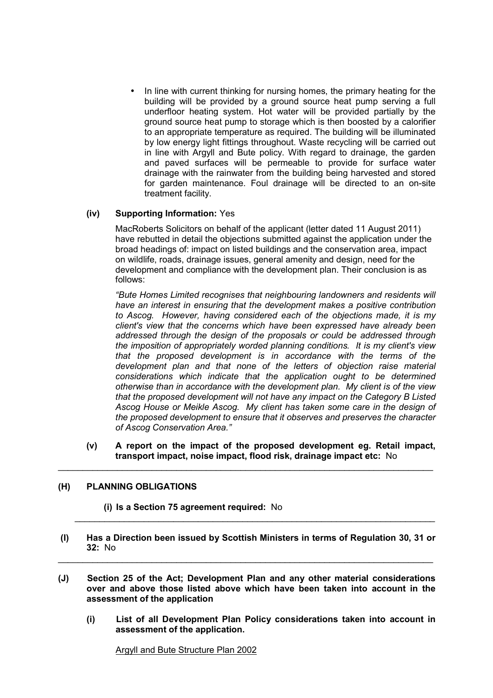In line with current thinking for nursing homes, the primary heating for the building will be provided by a ground source heat pump serving a full underfloor heating system. Hot water will be provided partially by the ground source heat pump to storage which is then boosted by a calorifier to an appropriate temperature as required. The building will be illuminated by low energy light fittings throughout. Waste recycling will be carried out in line with Argyll and Bute policy. With regard to drainage, the garden and paved surfaces will be permeable to provide for surface water drainage with the rainwater from the building being harvested and stored for garden maintenance. Foul drainage will be directed to an on-site treatment facility.

## **(iv) Supporting Information:** Yes

MacRoberts Solicitors on behalf of the applicant (letter dated 11 August 2011) have rebutted in detail the objections submitted against the application under the broad headings of: impact on listed buildings and the conservation area, impact on wildlife, roads, drainage issues, general amenity and design, need for the development and compliance with the development plan. Their conclusion is as follows:

*"Bute Homes Limited recognises that neighbouring landowners and residents will have an interest in ensuring that the development makes a positive contribution to Ascog. However, having considered each of the objections made, it is my client's view that the concerns which have been expressed have already been addressed through the design of the proposals or could be addressed through the imposition of appropriately worded planning conditions. It is my client's view that the proposed development is in accordance with the terms of the development plan and that none of the letters of objection raise material considerations which indicate that the application ought to be determined otherwise than in accordance with the development plan. My client is of the view that the proposed development will not have any impact on the Category B Listed Ascog House or Meikle Ascog. My client has taken some care in the design of the proposed development to ensure that it observes and preserves the character of Ascog Conservation Area."* 

**(v) A report on the impact of the proposed development eg. Retail impact, transport impact, noise impact, flood risk, drainage impact etc:** No

## **(H) PLANNING OBLIGATIONS**

- **(i) Is a Section 75 agreement required:** No
- **(I) Has a Direction been issued by Scottish Ministers in terms of Regulation 30, 31 or 32:** No

\_\_\_\_\_\_\_\_\_\_\_\_\_\_\_\_\_\_\_\_\_\_\_\_\_\_\_\_\_\_\_\_\_\_\_\_\_\_\_\_\_\_\_\_\_\_\_\_\_\_\_\_\_\_\_\_\_\_\_\_\_\_\_\_\_\_\_\_\_\_\_\_\_\_\_\_

\_\_\_\_\_\_\_\_\_\_\_\_\_\_\_\_\_\_\_\_\_\_\_\_\_\_\_\_\_\_\_\_\_\_\_\_\_\_\_\_\_\_\_\_\_\_\_\_\_\_\_\_\_\_\_\_\_\_\_\_\_\_\_\_\_\_\_\_\_\_\_\_\_

\_\_\_\_\_\_\_\_\_\_\_\_\_\_\_\_\_\_\_\_\_\_\_\_\_\_\_\_\_\_\_\_\_\_\_\_\_\_\_\_\_\_\_\_\_\_\_\_\_\_\_\_\_\_\_\_\_\_\_\_\_\_\_\_\_\_\_\_\_\_\_\_\_\_\_\_

- **(J) Section 25 of the Act; Development Plan and any other material considerations over and above those listed above which have been taken into account in the assessment of the application** 
	- **(i) List of all Development Plan Policy considerations taken into account in assessment of the application.**

Argyll and Bute Structure Plan 2002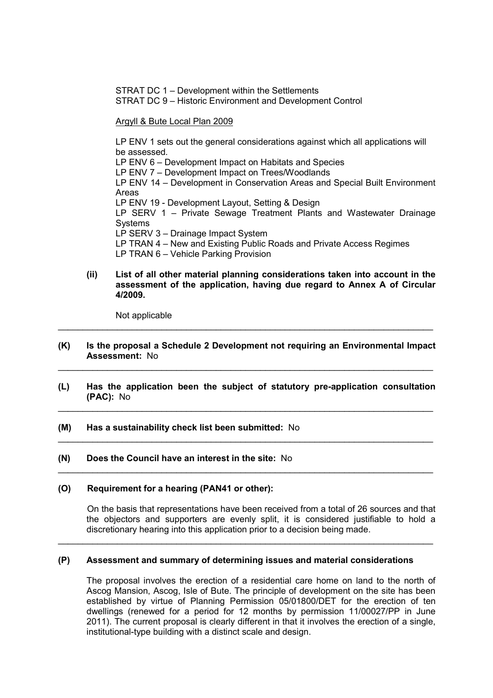STRAT DC 1 – Development within the Settlements STRAT DC 9 – Historic Environment and Development Control

#### Argyll & Bute Local Plan 2009

LP ENV 1 sets out the general considerations against which all applications will be assessed. LP ENV 6 – Development Impact on Habitats and Species LP ENV 7 – Development Impact on Trees/Woodlands LP ENV 14 – Development in Conservation Areas and Special Built Environment Areas LP ENV 19 - Development Layout, Setting & Design LP SERV 1 – Private Sewage Treatment Plants and Wastewater Drainage **Systems** LP SERV 3 – Drainage Impact System LP TRAN 4 – New and Existing Public Roads and Private Access Regimes LP TRAN 6 – Vehicle Parking Provision

**(ii) List of all other material planning considerations taken into account in the assessment of the application, having due regard to Annex A of Circular 4/2009.** 

Not applicable

## **(K) Is the proposal a Schedule 2 Development not requiring an Environmental Impact Assessment:** No \_\_\_\_\_\_\_\_\_\_\_\_\_\_\_\_\_\_\_\_\_\_\_\_\_\_\_\_\_\_\_\_\_\_\_\_\_\_\_\_\_\_\_\_\_\_\_\_\_\_\_\_\_\_\_\_\_\_\_\_\_\_\_\_\_\_\_\_\_\_\_\_\_\_\_\_

\_\_\_\_\_\_\_\_\_\_\_\_\_\_\_\_\_\_\_\_\_\_\_\_\_\_\_\_\_\_\_\_\_\_\_\_\_\_\_\_\_\_\_\_\_\_\_\_\_\_\_\_\_\_\_\_\_\_\_\_\_\_\_\_\_\_\_\_\_\_\_\_\_\_\_\_

**(L) Has the application been the subject of statutory pre-application consultation (PAC):** No \_\_\_\_\_\_\_\_\_\_\_\_\_\_\_\_\_\_\_\_\_\_\_\_\_\_\_\_\_\_\_\_\_\_\_\_\_\_\_\_\_\_\_\_\_\_\_\_\_\_\_\_\_\_\_\_\_\_\_\_\_\_\_\_\_\_\_\_\_\_\_\_\_\_\_\_

\_\_\_\_\_\_\_\_\_\_\_\_\_\_\_\_\_\_\_\_\_\_\_\_\_\_\_\_\_\_\_\_\_\_\_\_\_\_\_\_\_\_\_\_\_\_\_\_\_\_\_\_\_\_\_\_\_\_\_\_\_\_\_\_\_\_\_\_\_\_\_\_\_\_\_\_

\_\_\_\_\_\_\_\_\_\_\_\_\_\_\_\_\_\_\_\_\_\_\_\_\_\_\_\_\_\_\_\_\_\_\_\_\_\_\_\_\_\_\_\_\_\_\_\_\_\_\_\_\_\_\_\_\_\_\_\_\_\_\_\_\_\_\_\_\_\_\_\_\_\_\_\_

- **(M) Has a sustainability check list been submitted:** No
- **(N) Does the Council have an interest in the site:** No

## **(O) Requirement for a hearing (PAN41 or other):**

On the basis that representations have been received from a total of 26 sources and that the objectors and supporters are evenly split, it is considered justifiable to hold a discretionary hearing into this application prior to a decision being made.

## **(P) Assessment and summary of determining issues and material considerations**

\_\_\_\_\_\_\_\_\_\_\_\_\_\_\_\_\_\_\_\_\_\_\_\_\_\_\_\_\_\_\_\_\_\_\_\_\_\_\_\_\_\_\_\_\_\_\_\_\_\_\_\_\_\_\_\_\_\_\_\_\_\_\_\_\_\_\_\_\_\_\_\_\_\_\_\_

The proposal involves the erection of a residential care home on land to the north of Ascog Mansion, Ascog, Isle of Bute. The principle of development on the site has been established by virtue of Planning Permission 05/01800/DET for the erection of ten dwellings (renewed for a period for 12 months by permission 11/00027/PP in June 2011). The current proposal is clearly different in that it involves the erection of a single, institutional-type building with a distinct scale and design.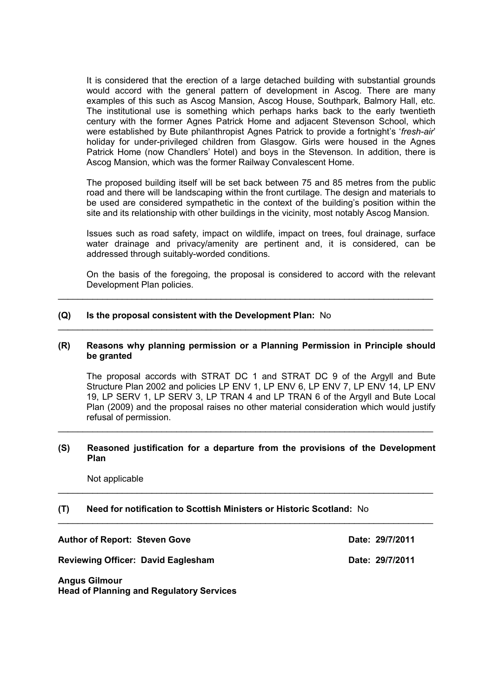It is considered that the erection of a large detached building with substantial grounds would accord with the general pattern of development in Ascog. There are many examples of this such as Ascog Mansion, Ascog House, Southpark, Balmory Hall, etc. The institutional use is something which perhaps harks back to the early twentieth century with the former Agnes Patrick Home and adjacent Stevenson School, which were established by Bute philanthropist Agnes Patrick to provide a fortnight's '*fresh-air*' holiday for under-privileged children from Glasgow. Girls were housed in the Agnes Patrick Home (now Chandlers' Hotel) and boys in the Stevenson. In addition, there is Ascog Mansion, which was the former Railway Convalescent Home.

The proposed building itself will be set back between 75 and 85 metres from the public road and there will be landscaping within the front curtilage. The design and materials to be used are considered sympathetic in the context of the building's position within the site and its relationship with other buildings in the vicinity, most notably Ascog Mansion.

Issues such as road safety, impact on wildlife, impact on trees, foul drainage, surface water drainage and privacy/amenity are pertinent and, it is considered, can be addressed through suitably-worded conditions.

On the basis of the foregoing, the proposal is considered to accord with the relevant Development Plan policies.

## **(Q) Is the proposal consistent with the Development Plan:** No

#### **(R) Reasons why planning permission or a Planning Permission in Principle should be granted**

\_\_\_\_\_\_\_\_\_\_\_\_\_\_\_\_\_\_\_\_\_\_\_\_\_\_\_\_\_\_\_\_\_\_\_\_\_\_\_\_\_\_\_\_\_\_\_\_\_\_\_\_\_\_\_\_\_\_\_\_\_\_\_\_\_\_\_\_\_\_\_\_\_\_\_\_

\_\_\_\_\_\_\_\_\_\_\_\_\_\_\_\_\_\_\_\_\_\_\_\_\_\_\_\_\_\_\_\_\_\_\_\_\_\_\_\_\_\_\_\_\_\_\_\_\_\_\_\_\_\_\_\_\_\_\_\_\_\_\_\_\_\_\_\_\_\_\_\_\_\_\_\_

The proposal accords with STRAT DC 1 and STRAT DC 9 of the Argyll and Bute Structure Plan 2002 and policies LP ENV 1, LP ENV 6, LP ENV 7, LP ENV 14, LP ENV 19, LP SERV 1, LP SERV 3, LP TRAN 4 and LP TRAN 6 of the Argyll and Bute Local Plan (2009) and the proposal raises no other material consideration which would justify refusal of permission.

## **(S) Reasoned justification for a departure from the provisions of the Development Plan**

\_\_\_\_\_\_\_\_\_\_\_\_\_\_\_\_\_\_\_\_\_\_\_\_\_\_\_\_\_\_\_\_\_\_\_\_\_\_\_\_\_\_\_\_\_\_\_\_\_\_\_\_\_\_\_\_\_\_\_\_\_\_\_\_\_\_\_\_\_\_\_\_\_\_\_\_

\_\_\_\_\_\_\_\_\_\_\_\_\_\_\_\_\_\_\_\_\_\_\_\_\_\_\_\_\_\_\_\_\_\_\_\_\_\_\_\_\_\_\_\_\_\_\_\_\_\_\_\_\_\_\_\_\_\_\_\_\_\_\_\_\_\_\_\_\_\_\_\_\_\_\_\_

\_\_\_\_\_\_\_\_\_\_\_\_\_\_\_\_\_\_\_\_\_\_\_\_\_\_\_\_\_\_\_\_\_\_\_\_\_\_\_\_\_\_\_\_\_\_\_\_\_\_\_\_\_\_\_\_\_\_\_\_\_\_\_\_\_\_\_\_\_\_\_\_\_\_\_\_

Not applicable

## **(T) Need for notification to Scottish Ministers or Historic Scotland:** No

#### Author of Report: Steven Gove **Date: 29/7/2011**

**Reviewing Officer: David Eaglesham Community Community Community Community Community Community Community Community Community Community Community Community Community Community Community Community Community Community Commun** 

**Angus Gilmour Head of Planning and Regulatory Services**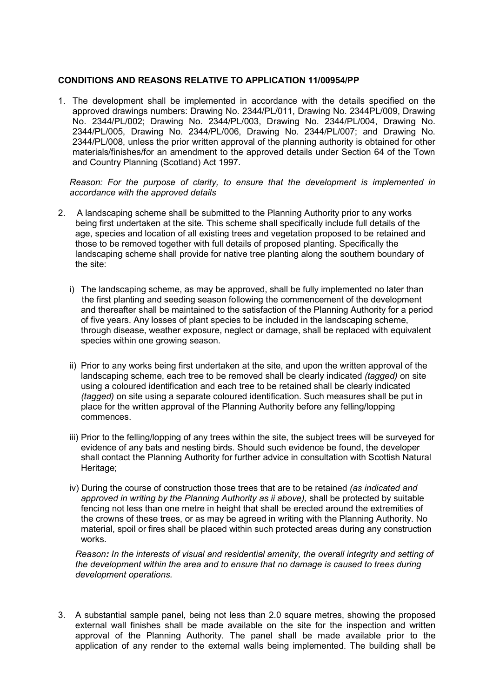## **CONDITIONS AND REASONS RELATIVE TO APPLICATION 11/00954/PP**

1. The development shall be implemented in accordance with the details specified on the approved drawings numbers: Drawing No. 2344/PL/011, Drawing No. 2344PL/009, Drawing No. 2344/PL/002; Drawing No. 2344/PL/003, Drawing No. 2344/PL/004, Drawing No. 2344/PL/005, Drawing No. 2344/PL/006, Drawing No. 2344/PL/007; and Drawing No. 2344/PL/008, unless the prior written approval of the planning authority is obtained for other materials/finishes/for an amendment to the approved details under Section 64 of the Town and Country Planning (Scotland) Act 1997.

*Reason: For the purpose of clarity, to ensure that the development is implemented in accordance with the approved details*

- 2. A landscaping scheme shall be submitted to the Planning Authority prior to any works being first undertaken at the site. This scheme shall specifically include full details of the age, species and location of all existing trees and vegetation proposed to be retained and those to be removed together with full details of proposed planting. Specifically the landscaping scheme shall provide for native tree planting along the southern boundary of the site:
	- i) The landscaping scheme, as may be approved, shall be fully implemented no later than the first planting and seeding season following the commencement of the development and thereafter shall be maintained to the satisfaction of the Planning Authority for a period of five years. Any losses of plant species to be included in the landscaping scheme, through disease, weather exposure, neglect or damage, shall be replaced with equivalent species within one growing season.
	- ii) Prior to any works being first undertaken at the site, and upon the written approval of the landscaping scheme, each tree to be removed shall be clearly indicated *(tagged)* on site using a coloured identification and each tree to be retained shall be clearly indicated *(tagged)* on site using a separate coloured identification. Such measures shall be put in place for the written approval of the Planning Authority before any felling/lopping commences.
	- iii) Prior to the felling/lopping of any trees within the site, the subject trees will be surveyed for evidence of any bats and nesting birds. Should such evidence be found, the developer shall contact the Planning Authority for further advice in consultation with Scottish Natural Heritage:
	- iv) During the course of construction those trees that are to be retained *(as indicated and approved in writing by the Planning Authority as ii above),* shall be protected by suitable fencing not less than one metre in height that shall be erected around the extremities of the crowns of these trees, or as may be agreed in writing with the Planning Authority. No material, spoil or fires shall be placed within such protected areas during any construction works.

 *Reason: In the interests of visual and residential amenity, the overall integrity and setting of the development within the area and to ensure that no damage is caused to trees during development operations.*

3. A substantial sample panel, being not less than 2.0 square metres, showing the proposed external wall finishes shall be made available on the site for the inspection and written approval of the Planning Authority. The panel shall be made available prior to the application of any render to the external walls being implemented. The building shall be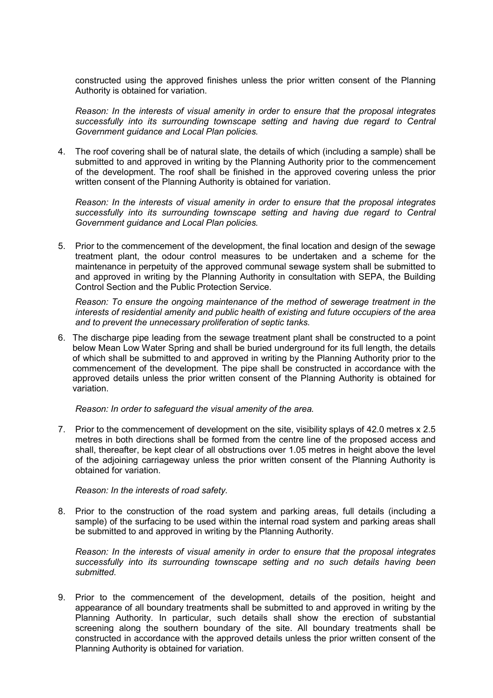constructed using the approved finishes unless the prior written consent of the Planning Authority is obtained for variation.

*Reason: In the interests of visual amenity in order to ensure that the proposal integrates successfully into its surrounding townscape setting and having due regard to Central Government guidance and Local Plan policies.* 

4. The roof covering shall be of natural slate, the details of which (including a sample) shall be submitted to and approved in writing by the Planning Authority prior to the commencement of the development. The roof shall be finished in the approved covering unless the prior written consent of the Planning Authority is obtained for variation.

*Reason: In the interests of visual amenity in order to ensure that the proposal integrates successfully into its surrounding townscape setting and having due regard to Central Government guidance and Local Plan policies.* 

5. Prior to the commencement of the development, the final location and design of the sewage treatment plant, the odour control measures to be undertaken and a scheme for the maintenance in perpetuity of the approved communal sewage system shall be submitted to and approved in writing by the Planning Authority in consultation with SEPA, the Building Control Section and the Public Protection Service.

*Reason: To ensure the ongoing maintenance of the method of sewerage treatment in the interests of residential amenity and public health of existing and future occupiers of the area and to prevent the unnecessary proliferation of septic tanks.* 

6. The discharge pipe leading from the sewage treatment plant shall be constructed to a point below Mean Low Water Spring and shall be buried underground for its full length, the details of which shall be submitted to and approved in writing by the Planning Authority prior to the commencement of the development. The pipe shall be constructed in accordance with the approved details unless the prior written consent of the Planning Authority is obtained for variation.

## *Reason: In order to safeguard the visual amenity of the area.*

7. Prior to the commencement of development on the site, visibility splays of 42.0 metres x 2.5 metres in both directions shall be formed from the centre line of the proposed access and shall, thereafter, be kept clear of all obstructions over 1.05 metres in height above the level of the adjoining carriageway unless the prior written consent of the Planning Authority is obtained for variation.

*Reason: In the interests of road safety.* 

8. Prior to the construction of the road system and parking areas, full details (including a sample) of the surfacing to be used within the internal road system and parking areas shall be submitted to and approved in writing by the Planning Authority.

*Reason: In the interests of visual amenity in order to ensure that the proposal integrates successfully into its surrounding townscape setting and no such details having been submitted.* 

9. Prior to the commencement of the development, details of the position, height and appearance of all boundary treatments shall be submitted to and approved in writing by the Planning Authority. In particular, such details shall show the erection of substantial screening along the southern boundary of the site. All boundary treatments shall be constructed in accordance with the approved details unless the prior written consent of the Planning Authority is obtained for variation.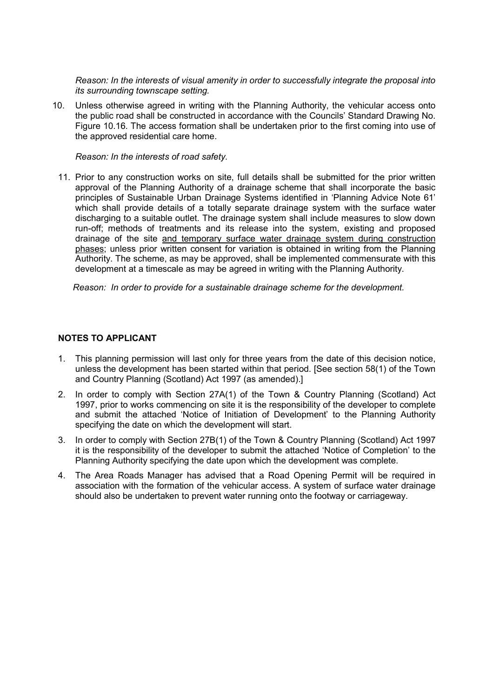*Reason: In the interests of visual amenity in order to successfully integrate the proposal into its surrounding townscape setting.* 

10. Unless otherwise agreed in writing with the Planning Authority, the vehicular access onto the public road shall be constructed in accordance with the Councils' Standard Drawing No. Figure 10.16. The access formation shall be undertaken prior to the first coming into use of the approved residential care home.

*Reason: In the interests of road safety.* 

11. Prior to any construction works on site, full details shall be submitted for the prior written approval of the Planning Authority of a drainage scheme that shall incorporate the basic principles of Sustainable Urban Drainage Systems identified in 'Planning Advice Note 61' which shall provide details of a totally separate drainage system with the surface water discharging to a suitable outlet. The drainage system shall include measures to slow down run-off; methods of treatments and its release into the system, existing and proposed drainage of the site and temporary surface water drainage system during construction phases; unless prior written consent for variation is obtained in writing from the Planning Authority. The scheme, as may be approved, shall be implemented commensurate with this development at a timescale as may be agreed in writing with the Planning Authority.

 *Reason: In order to provide for a sustainable drainage scheme for the development.* 

## **NOTES TO APPLICANT**

- 1. This planning permission will last only for three years from the date of this decision notice, unless the development has been started within that period. [See section 58(1) of the Town and Country Planning (Scotland) Act 1997 (as amended).]
- 2. In order to comply with Section 27A(1) of the Town & Country Planning (Scotland) Act 1997, prior to works commencing on site it is the responsibility of the developer to complete and submit the attached 'Notice of Initiation of Development' to the Planning Authority specifying the date on which the development will start.
- 3. In order to comply with Section 27B(1) of the Town & Country Planning (Scotland) Act 1997 it is the responsibility of the developer to submit the attached 'Notice of Completion' to the Planning Authority specifying the date upon which the development was complete.
- 4. The Area Roads Manager has advised that a Road Opening Permit will be required in association with the formation of the vehicular access. A system of surface water drainage should also be undertaken to prevent water running onto the footway or carriageway.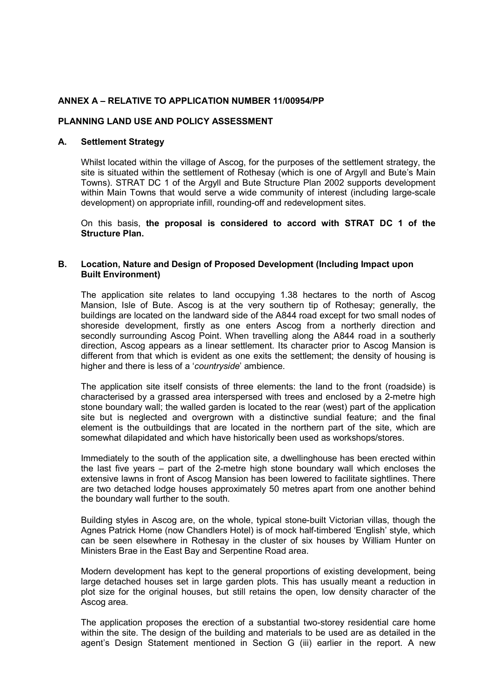## **ANNEX A – RELATIVE TO APPLICATION NUMBER 11/00954/PP**

#### **PLANNING LAND USE AND POLICY ASSESSMENT**

#### **A. Settlement Strategy**

Whilst located within the village of Ascog, for the purposes of the settlement strategy, the site is situated within the settlement of Rothesay (which is one of Argyll and Bute's Main Towns). STRAT DC 1 of the Argyll and Bute Structure Plan 2002 supports development within Main Towns that would serve a wide community of interest (including large-scale development) on appropriate infill, rounding-off and redevelopment sites.

On this basis, **the proposal is considered to accord with STRAT DC 1 of the Structure Plan.** 

#### **B. Location, Nature and Design of Proposed Development (Including Impact upon Built Environment)**

The application site relates to land occupying 1.38 hectares to the north of Ascog Mansion, Isle of Bute. Ascog is at the very southern tip of Rothesay; generally, the buildings are located on the landward side of the A844 road except for two small nodes of shoreside development, firstly as one enters Ascog from a northerly direction and secondly surrounding Ascog Point. When travelling along the A844 road in a southerly direction, Ascog appears as a linear settlement. Its character prior to Ascog Mansion is different from that which is evident as one exits the settlement; the density of housing is higher and there is less of a '*countryside*' ambience.

The application site itself consists of three elements: the land to the front (roadside) is characterised by a grassed area interspersed with trees and enclosed by a 2-metre high stone boundary wall; the walled garden is located to the rear (west) part of the application site but is neglected and overgrown with a distinctive sundial feature; and the final element is the outbuildings that are located in the northern part of the site, which are somewhat dilapidated and which have historically been used as workshops/stores.

Immediately to the south of the application site, a dwellinghouse has been erected within the last five years – part of the 2-metre high stone boundary wall which encloses the extensive lawns in front of Ascog Mansion has been lowered to facilitate sightlines. There are two detached lodge houses approximately 50 metres apart from one another behind the boundary wall further to the south.

Building styles in Ascog are, on the whole, typical stone-built Victorian villas, though the Agnes Patrick Home (now Chandlers Hotel) is of mock half-timbered 'English' style, which can be seen elsewhere in Rothesay in the cluster of six houses by William Hunter on Ministers Brae in the East Bay and Serpentine Road area.

Modern development has kept to the general proportions of existing development, being large detached houses set in large garden plots. This has usually meant a reduction in plot size for the original houses, but still retains the open, low density character of the Ascog area.

The application proposes the erection of a substantial two-storey residential care home within the site. The design of the building and materials to be used are as detailed in the agent's Design Statement mentioned in Section G (iii) earlier in the report. A new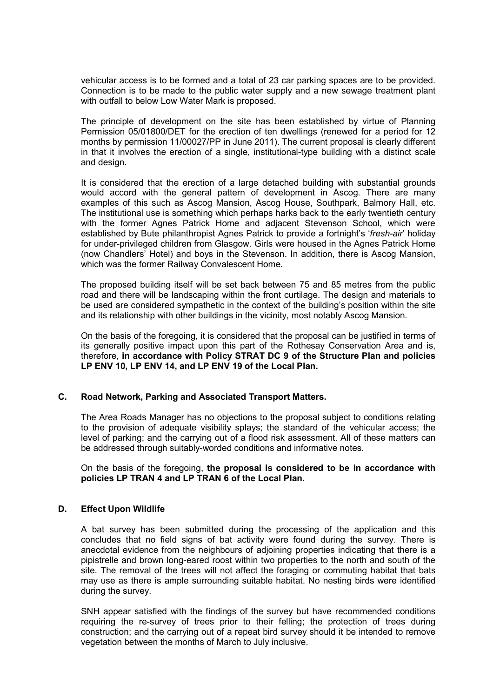vehicular access is to be formed and a total of 23 car parking spaces are to be provided. Connection is to be made to the public water supply and a new sewage treatment plant with outfall to below Low Water Mark is proposed.

The principle of development on the site has been established by virtue of Planning Permission 05/01800/DET for the erection of ten dwellings (renewed for a period for 12 months by permission 11/00027/PP in June 2011). The current proposal is clearly different in that it involves the erection of a single, institutional-type building with a distinct scale and design.

It is considered that the erection of a large detached building with substantial grounds would accord with the general pattern of development in Ascog. There are many examples of this such as Ascog Mansion, Ascog House, Southpark, Balmory Hall, etc. The institutional use is something which perhaps harks back to the early twentieth century with the former Agnes Patrick Home and adjacent Stevenson School, which were established by Bute philanthropist Agnes Patrick to provide a fortnight's '*fresh-air*' holiday for under-privileged children from Glasgow. Girls were housed in the Agnes Patrick Home (now Chandlers' Hotel) and boys in the Stevenson. In addition, there is Ascog Mansion, which was the former Railway Convalescent Home.

The proposed building itself will be set back between 75 and 85 metres from the public road and there will be landscaping within the front curtilage. The design and materials to be used are considered sympathetic in the context of the building's position within the site and its relationship with other buildings in the vicinity, most notably Ascog Mansion.

On the basis of the foregoing, it is considered that the proposal can be justified in terms of its generally positive impact upon this part of the Rothesay Conservation Area and is, therefore, **in accordance with Policy STRAT DC 9 of the Structure Plan and policies LP ENV 10, LP ENV 14, and LP ENV 19 of the Local Plan.** 

## **C. Road Network, Parking and Associated Transport Matters.**

The Area Roads Manager has no objections to the proposal subject to conditions relating to the provision of adequate visibility splays; the standard of the vehicular access; the level of parking; and the carrying out of a flood risk assessment. All of these matters can be addressed through suitably-worded conditions and informative notes.

On the basis of the foregoing, **the proposal is considered to be in accordance with policies LP TRAN 4 and LP TRAN 6 of the Local Plan.**

## **D. Effect Upon Wildlife**

A bat survey has been submitted during the processing of the application and this concludes that no field signs of bat activity were found during the survey. There is anecdotal evidence from the neighbours of adjoining properties indicating that there is a pipistrelle and brown long-eared roost within two properties to the north and south of the site. The removal of the trees will not affect the foraging or commuting habitat that bats may use as there is ample surrounding suitable habitat. No nesting birds were identified during the survey.

SNH appear satisfied with the findings of the survey but have recommended conditions requiring the re-survey of trees prior to their felling; the protection of trees during construction; and the carrying out of a repeat bird survey should it be intended to remove vegetation between the months of March to July inclusive.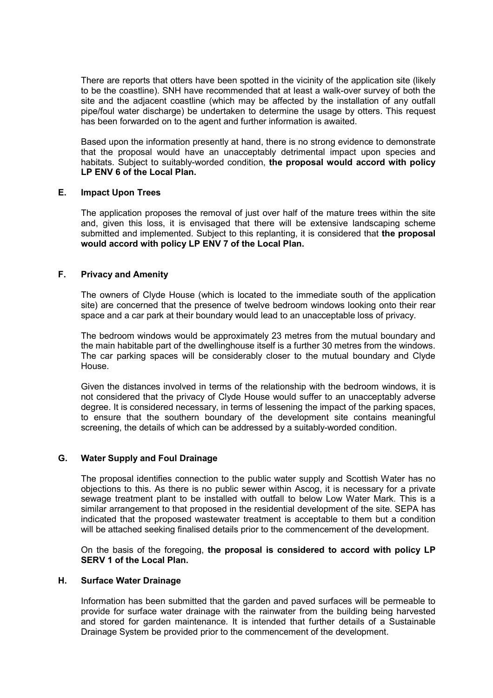There are reports that otters have been spotted in the vicinity of the application site (likely to be the coastline). SNH have recommended that at least a walk-over survey of both the site and the adjacent coastline (which may be affected by the installation of any outfall pipe/foul water discharge) be undertaken to determine the usage by otters. This request has been forwarded on to the agent and further information is awaited.

Based upon the information presently at hand, there is no strong evidence to demonstrate that the proposal would have an unacceptably detrimental impact upon species and habitats. Subject to suitably-worded condition, **the proposal would accord with policy LP ENV 6 of the Local Plan.** 

## **E. Impact Upon Trees**

The application proposes the removal of just over half of the mature trees within the site and, given this loss, it is envisaged that there will be extensive landscaping scheme submitted and implemented. Subject to this replanting, it is considered that **the proposal would accord with policy LP ENV 7 of the Local Plan.** 

## **F. Privacy and Amenity**

The owners of Clyde House (which is located to the immediate south of the application site) are concerned that the presence of twelve bedroom windows looking onto their rear space and a car park at their boundary would lead to an unacceptable loss of privacy.

The bedroom windows would be approximately 23 metres from the mutual boundary and the main habitable part of the dwellinghouse itself is a further 30 metres from the windows. The car parking spaces will be considerably closer to the mutual boundary and Clyde House.

Given the distances involved in terms of the relationship with the bedroom windows, it is not considered that the privacy of Clyde House would suffer to an unacceptably adverse degree. It is considered necessary, in terms of lessening the impact of the parking spaces, to ensure that the southern boundary of the development site contains meaningful screening, the details of which can be addressed by a suitably-worded condition.

## **G. Water Supply and Foul Drainage**

The proposal identifies connection to the public water supply and Scottish Water has no objections to this. As there is no public sewer within Ascog, it is necessary for a private sewage treatment plant to be installed with outfall to below Low Water Mark. This is a similar arrangement to that proposed in the residential development of the site. SEPA has indicated that the proposed wastewater treatment is acceptable to them but a condition will be attached seeking finalised details prior to the commencement of the development.

On the basis of the foregoing, **the proposal is considered to accord with policy LP SERV 1 of the Local Plan.** 

## **H. Surface Water Drainage**

Information has been submitted that the garden and paved surfaces will be permeable to provide for surface water drainage with the rainwater from the building being harvested and stored for garden maintenance. It is intended that further details of a Sustainable Drainage System be provided prior to the commencement of the development.